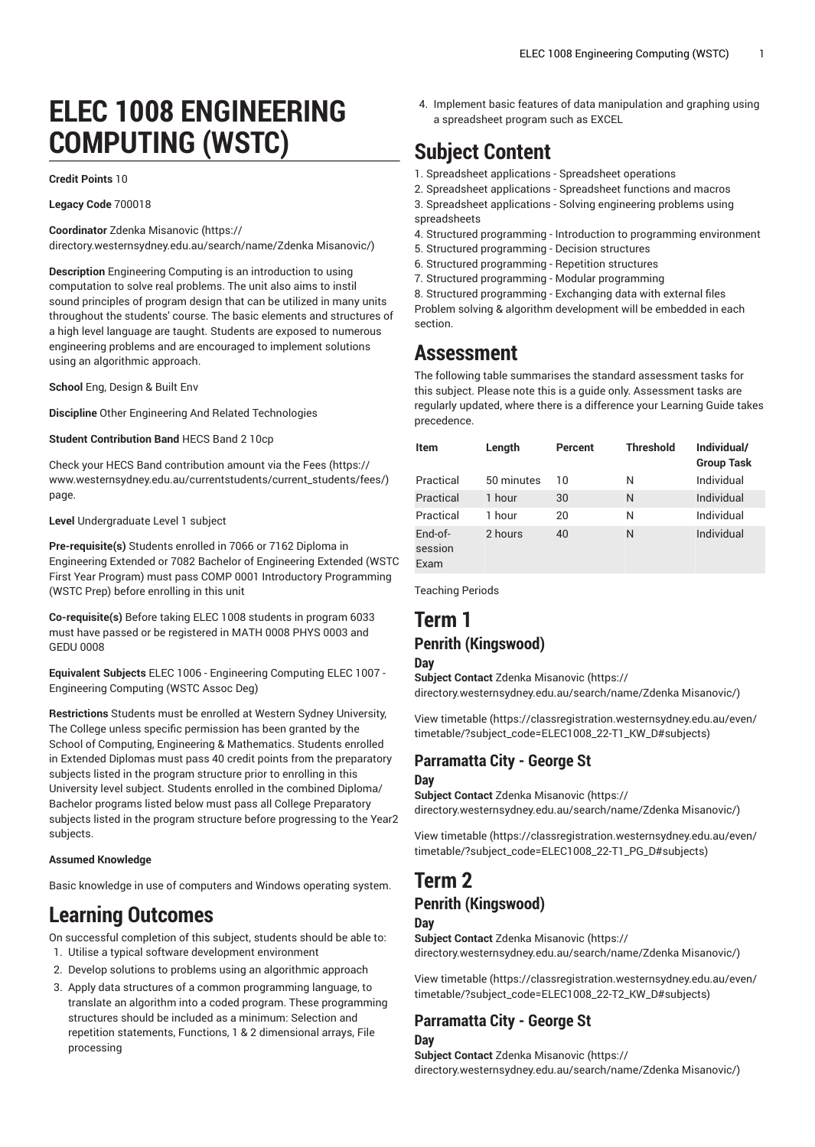# **ELEC 1008 ENGINEERING COMPUTING (WSTC)**

#### **Credit Points** 10

**Legacy Code** 700018

**Coordinator** Zdenka [Misanovic \(https://](https://directory.westernsydney.edu.au/search/name/Zdenka Misanovic/)

[directory.westernsydney.edu.au/search/name/Zdenka](https://directory.westernsydney.edu.au/search/name/Zdenka Misanovic/) Misanovic/)

**Description** Engineering Computing is an introduction to using computation to solve real problems. The unit also aims to instil sound principles of program design that can be utilized in many units throughout the students' course. The basic elements and structures of a high level language are taught. Students are exposed to numerous engineering problems and are encouraged to implement solutions using an algorithmic approach.

**School** Eng, Design & Built Env

**Discipline** Other Engineering And Related Technologies

**Student Contribution Band** HECS Band 2 10cp

Check your HECS Band contribution amount via the [Fees \(https://](https://www.westernsydney.edu.au/currentstudents/current_students/fees/) [www.westernsydney.edu.au/currentstudents/current\\_students/fees/\)](https://www.westernsydney.edu.au/currentstudents/current_students/fees/) page.

**Level** Undergraduate Level 1 subject

**Pre-requisite(s)** Students enrolled in 7066 or 7162 Diploma in Engineering Extended or 7082 Bachelor of Engineering Extended (WSTC First Year Program) must pass [COMP 0001](/search/?P=COMP%200001) Introductory Programming (WSTC Prep) before enrolling in this unit

**Co-requisite(s)** Before taking [ELEC 1008](/search/?P=ELEC%201008) students in program 6033 must have passed or be registered in [MATH](/search/?P=MATH%200008) 0008 [PHYS](/search/?P=PHYS%200003) 0003 and [GEDU 0008](/search/?P=GEDU%200008)

**Equivalent Subjects** [ELEC 1006](/search/?P=ELEC%201006) - Engineering Computing [ELEC 1007](/search/?P=ELEC%201007) - Engineering Computing (WSTC Assoc Deg)

**Restrictions** Students must be enrolled at Western Sydney University, The College unless specific permission has been granted by the School of Computing, Engineering & Mathematics. Students enrolled in Extended Diplomas must pass 40 credit points from the preparatory subjects listed in the program structure prior to enrolling in this University level subject. Students enrolled in the combined Diploma/ Bachelor programs listed below must pass all College Preparatory subjects listed in the program structure before progressing to the Year2 subjects.

#### **Assumed Knowledge**

Basic knowledge in use of computers and Windows operating system.

# **Learning Outcomes**

On successful completion of this subject, students should be able to: 1. Utilise a typical software development environment

- 2. Develop solutions to problems using an algorithmic approach
- 3. Apply data structures of a common programming language, to translate an algorithm into a coded program. These programming structures should be included as a minimum: Selection and repetition statements, Functions, 1 & 2 dimensional arrays, File processing

4. Implement basic features of data manipulation and graphing using a spreadsheet program such as EXCEL

# **Subject Content**

- 1. Spreadsheet applications Spreadsheet operations
- 2. Spreadsheet applications Spreadsheet functions and macros

3. Spreadsheet applications - Solving engineering problems using spreadsheets

- 4. Structured programming Introduction to programming environment
- 5. Structured programming Decision structures
- 6. Structured programming Repetition structures
- 7. Structured programming Modular programming
- 8. Structured programming Exchanging data with external files

Problem solving & algorithm development will be embedded in each section.

## **Assessment**

The following table summarises the standard assessment tasks for this subject. Please note this is a guide only. Assessment tasks are regularly updated, where there is a difference your Learning Guide takes precedence.

| <b>Item</b>                | Length     | Percent | <b>Threshold</b> | Individual/<br><b>Group Task</b> |
|----------------------------|------------|---------|------------------|----------------------------------|
| Practical                  | 50 minutes | 10      | Ν                | Individual                       |
| Practical                  | 1 hour     | 30      | N                | Individual                       |
| Practical                  | 1 hour     | 20      | N                | Individual                       |
| End-of-<br>session<br>Exam | 2 hours    | 40      | N                | Individual                       |

Teaching Periods

# **Term 1 Penrith (Kingswood)**

#### **Day**

**Subject Contact** Zdenka [Misanovic](https://directory.westernsydney.edu.au/search/name/Zdenka Misanovic/) ([https://](https://directory.westernsydney.edu.au/search/name/Zdenka Misanovic/) [directory.westernsydney.edu.au/search/name/Zdenka](https://directory.westernsydney.edu.au/search/name/Zdenka Misanovic/) Misanovic/)

[View timetable](https://classregistration.westernsydney.edu.au/even/timetable/?subject_code=ELEC1008_22-T1_KW_D#subjects) [\(https://classregistration.westernsydney.edu.au/even/](https://classregistration.westernsydney.edu.au/even/timetable/?subject_code=ELEC1008_22-T1_KW_D#subjects) [timetable/?subject\\_code=ELEC1008\\_22-T1\\_KW\\_D#subjects\)](https://classregistration.westernsydney.edu.au/even/timetable/?subject_code=ELEC1008_22-T1_KW_D#subjects)

# **Parramatta City - George St**

### **Day**

**Subject Contact** Zdenka [Misanovic](https://directory.westernsydney.edu.au/search/name/Zdenka Misanovic/) ([https://](https://directory.westernsydney.edu.au/search/name/Zdenka Misanovic/) [directory.westernsydney.edu.au/search/name/Zdenka](https://directory.westernsydney.edu.au/search/name/Zdenka Misanovic/) Misanovic/)

[View timetable](https://classregistration.westernsydney.edu.au/even/timetable/?subject_code=ELEC1008_22-T1_PG_D#subjects) [\(https://classregistration.westernsydney.edu.au/even/](https://classregistration.westernsydney.edu.au/even/timetable/?subject_code=ELEC1008_22-T1_PG_D#subjects) [timetable/?subject\\_code=ELEC1008\\_22-T1\\_PG\\_D#subjects\)](https://classregistration.westernsydney.edu.au/even/timetable/?subject_code=ELEC1008_22-T1_PG_D#subjects)

### **Term 2 Penrith (Kingswood)**

### **Day**

**Subject Contact** Zdenka [Misanovic](https://directory.westernsydney.edu.au/search/name/Zdenka Misanovic/) ([https://](https://directory.westernsydney.edu.au/search/name/Zdenka Misanovic/) [directory.westernsydney.edu.au/search/name/Zdenka](https://directory.westernsydney.edu.au/search/name/Zdenka Misanovic/) Misanovic/)

[View timetable](https://classregistration.westernsydney.edu.au/even/timetable/?subject_code=ELEC1008_22-T2_KW_D#subjects) [\(https://classregistration.westernsydney.edu.au/even/](https://classregistration.westernsydney.edu.au/even/timetable/?subject_code=ELEC1008_22-T2_KW_D#subjects) [timetable/?subject\\_code=ELEC1008\\_22-T2\\_KW\\_D#subjects\)](https://classregistration.westernsydney.edu.au/even/timetable/?subject_code=ELEC1008_22-T2_KW_D#subjects)

### **Parramatta City - George St**

**Day Subject Contact** Zdenka [Misanovic](https://directory.westernsydney.edu.au/search/name/Zdenka Misanovic/) ([https://](https://directory.westernsydney.edu.au/search/name/Zdenka Misanovic/) [directory.westernsydney.edu.au/search/name/Zdenka](https://directory.westernsydney.edu.au/search/name/Zdenka Misanovic/) Misanovic/)